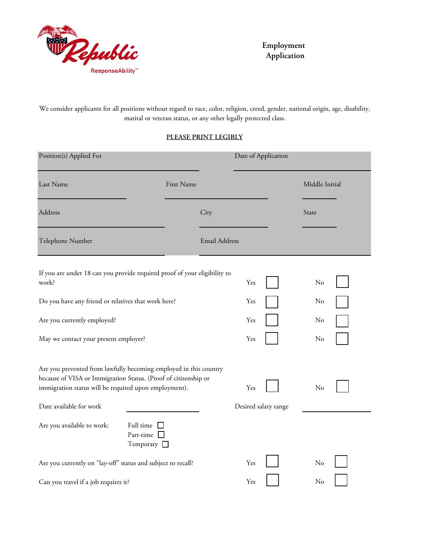

**Employment Application**

We consider applicants for all positions without regard to race, color, religion, creed, gender, national origin, age, disability, marital or veteran status, or any other legally protected class.

## **PLEASE PRINT LEGIBLY**

| Position(s) Applied For                                                                                                                                                                                                  |                                                      |                      |     | Date of Application  |                |  |
|--------------------------------------------------------------------------------------------------------------------------------------------------------------------------------------------------------------------------|------------------------------------------------------|----------------------|-----|----------------------|----------------|--|
| Last Name                                                                                                                                                                                                                | First Name                                           |                      |     |                      | Middle Initial |  |
| Address                                                                                                                                                                                                                  |                                                      | City                 |     |                      | State          |  |
| Telephone Number                                                                                                                                                                                                         |                                                      | <b>Email Address</b> |     |                      |                |  |
| If you are under 18 can you provide required proof of your eligibility to<br>work?                                                                                                                                       |                                                      |                      | Yes |                      | No             |  |
| Do you have any friend or relatives that work here?                                                                                                                                                                      |                                                      |                      | Yes |                      | No             |  |
| Are you currently employed?                                                                                                                                                                                              |                                                      |                      | Yes |                      | No             |  |
| May we contact your present employer?                                                                                                                                                                                    |                                                      |                      | Yes |                      | No             |  |
| Are you prevented from lawfully becoming employed in this country<br>because of VISA or Immigration Status. (Proof of citizenship or<br>immigration status will be required upon employment).<br>Date available for work |                                                      |                      | Yes | Desired salary range | No             |  |
| Are you available to work:                                                                                                                                                                                               | Full time<br>Part-time $\square$<br>Temporary $\Box$ |                      |     |                      |                |  |
| Are you currently on "lay-off" status and subject to recall?                                                                                                                                                             |                                                      |                      | Yes |                      | No             |  |
| Can you travel if a job requires it?                                                                                                                                                                                     |                                                      |                      | Yes |                      | No             |  |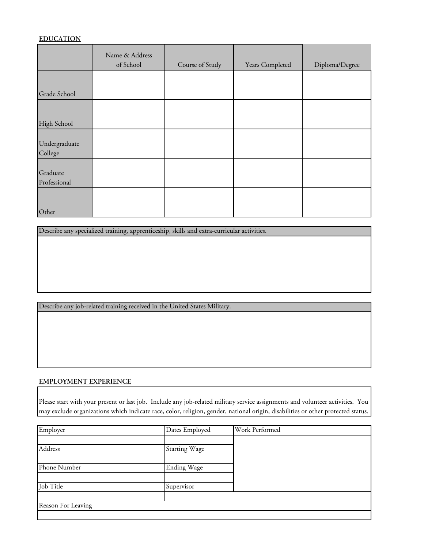### **EDUCATION**

|                          | Name & Address<br>of School | Course of Study | Years Completed | Diploma/Degree |
|--------------------------|-----------------------------|-----------------|-----------------|----------------|
| Grade School             |                             |                 |                 |                |
| High School              |                             |                 |                 |                |
| Undergraduate<br>College |                             |                 |                 |                |
| Graduate<br>Professional |                             |                 |                 |                |
| Other                    |                             |                 |                 |                |

Describe any specialized training, apprenticeship, skills and extra-curricular activities.

Describe any job-related training received in the United States Military.

#### **EMPLOYMENT EXPERIENCE**

Please start with your present or last job. Include any job-related military service assignments and volunteer activities. You may exclude organizations which indicate race, color, religion, gender, national origin, disabilities or other protected status.

| Employer           | Dates Employed       | Work Performed |
|--------------------|----------------------|----------------|
|                    |                      |                |
| Address            | <b>Starting Wage</b> |                |
|                    |                      |                |
| Phone Number       | <b>Ending Wage</b>   |                |
|                    |                      |                |
| Job Title          | Supervisor           |                |
|                    |                      |                |
| Reason For Leaving |                      |                |
|                    |                      |                |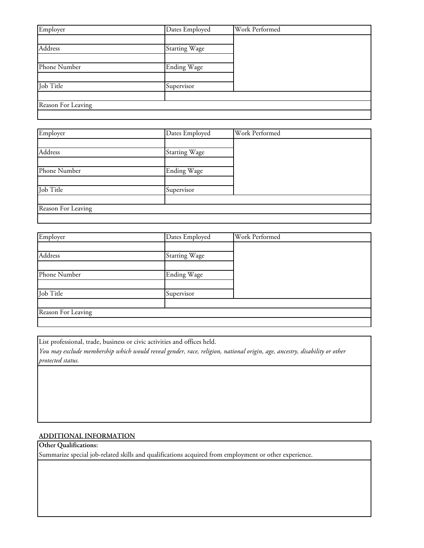| Employer           | Dates Employed       | Work Performed |
|--------------------|----------------------|----------------|
|                    |                      |                |
| Address            | <b>Starting Wage</b> |                |
|                    |                      |                |
| Phone Number       | <b>Ending Wage</b>   |                |
|                    |                      |                |
| Job Title          | Supervisor           |                |
|                    |                      |                |
| Reason For Leaving |                      |                |
|                    |                      |                |

| Employer           | Dates Employed       | Work Performed |
|--------------------|----------------------|----------------|
|                    |                      |                |
| Address            | <b>Starting Wage</b> |                |
|                    |                      |                |
| Phone Number       | <b>Ending Wage</b>   |                |
|                    |                      |                |
| Job Title          | Supervisor           |                |
|                    |                      |                |
| Reason For Leaving |                      |                |
|                    |                      |                |

| Employer           | Dates Employed       | Work Performed |
|--------------------|----------------------|----------------|
|                    |                      |                |
| Address            | <b>Starting Wage</b> |                |
|                    |                      |                |
| Phone Number       | <b>Ending Wage</b>   |                |
|                    |                      |                |
| Job Title          | Supervisor           |                |
|                    |                      |                |
| Reason For Leaving |                      |                |
|                    |                      |                |

List professional, trade, business or civic activities and offices held.

*You may exclude membership which would reveal gender, race, religion, national origin, age, ancestry, disability or other protected status.*

## **ADDITIONAL INFORMATION**

# **Other Qualifications:**

Summarize special job-related skills and qualifications acquired from employment or other experience.